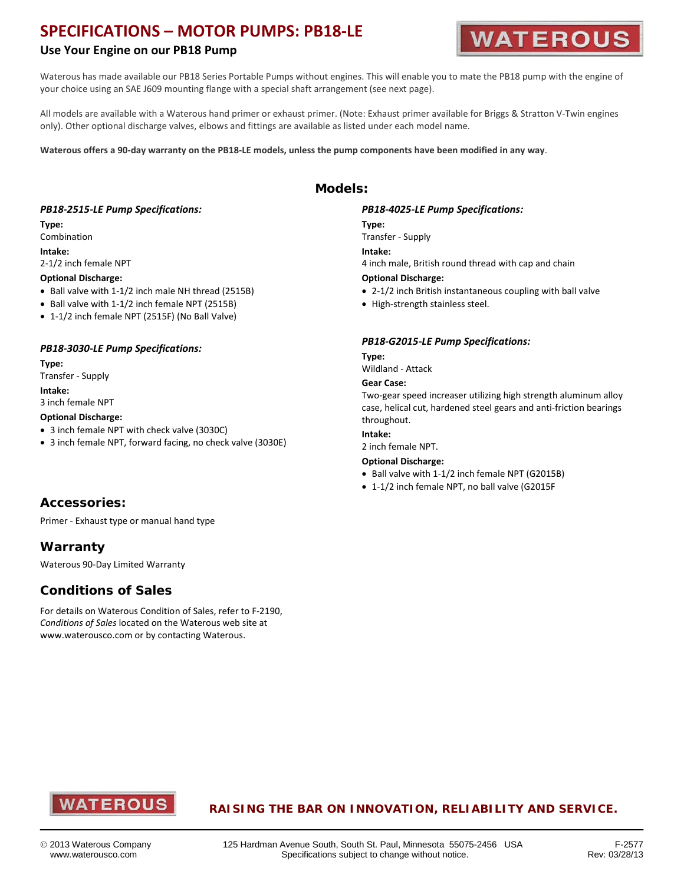# **SPECIFICATIONS – MOTOR PUMPS: PB18-LE**

### **Use Your Engine on our PB18 Pump**



Waterous has made available our PB18 Series Portable Pumps without engines. This will enable you to mate the PB18 pump with the engine of your choice using an SAE J609 mounting flange with a special shaft arrangement (see next page).

All models are available with a Waterous hand primer or exhaust primer. (Note: Exhaust primer available for Briggs & Stratton V-Twin engines only). Other optional discharge valves, elbows and fittings are available as listed under each model name.

**Models:**

**Waterous offers a 90-day warranty on the PB18-LE models, unless the pump components have been modified in any way**.

### *PB18-2515-LE Pump Specifications:*

### **Type:**

Combination

### **Intake:**

2-1/2 inch female NPT

#### **Optional Discharge:**

- Ball valve with 1-1/2 inch male NH thread (2515B)
- Ball valve with 1-1/2 inch female NPT (2515B)
- 1-1/2 inch female NPT (2515F) (No Ball Valve)

### *PB18-3030-LE Pump Specifications:*

#### **Type:**

Transfer - Supply

#### **Intake:**

3 inch female NPT

#### **Optional Discharge:**

- 3 inch female NPT with check valve (3030C)
- 3 inch female NPT, forward facing, no check valve (3030E)

### **Accessories:**

Primer - Exhaust type or manual hand type

### **Warranty**

Waterous 90-Day Limited Warranty

### **Conditions of Sales**

For details on Waterous Condition of Sales, refer to F-2190, *Conditions of Sales* located on the Waterous web site at www.waterousco.com or by contacting Waterous.

### *PB18-4025-LE Pump Specifications:*

#### **Type:**

Transfer - Supply **Intake:** 4 inch male, British round thread with cap and chain **Optional Discharge:** 

- 2-1/2 inch British instantaneous coupling with ball valve
- High-strength stainless steel.

### *PB18-G2015-LE Pump Specifications:*

#### **Type:**

Wildland - Attack

#### **Gear Case:**

Two-gear speed increaser utilizing high strength aluminum alloy case, helical cut, hardened steel gears and anti-friction bearings throughout.

### **Intake:**

2 inch female NPT.

#### **Optional Discharge:**

- Ball valve with 1-1/2 inch female NPT (G2015B)
- 1-1/2 inch female NPT, no ball valve (G2015F



### **RAISING THE BAR ON INNOVATION, RELIABILITY AND SERVICE.**